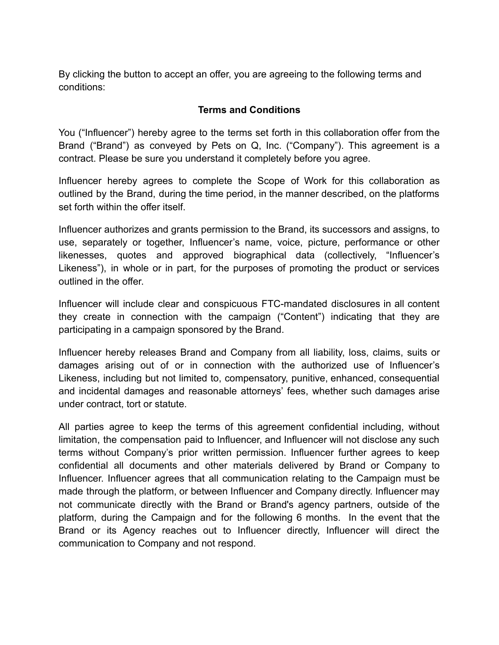By clicking the button to accept an offer, you are agreeing to the following terms and conditions:

### **Terms and Conditions**

You ("Influencer") hereby agree to the terms set forth in this collaboration offer from the Brand ("Brand") as conveyed by Pets on Q, Inc. ("Company"). This agreement is a contract. Please be sure you understand it completely before you agree.

Influencer hereby agrees to complete the Scope of Work for this collaboration as outlined by the Brand, during the time period, in the manner described, on the platforms set forth within the offer itself.

Influencer authorizes and grants permission to the Brand, its successors and assigns, to use, separately or together, Influencer's name, voice, picture, performance or other likenesses, quotes and approved biographical data (collectively, "Influencer's Likeness"), in whole or in part, for the purposes of promoting the product or services outlined in the offer.

Influencer will include clear and conspicuous FTC-mandated disclosures in all content they create in connection with the campaign ("Content") indicating that they are participating in a campaign sponsored by the Brand.

Influencer hereby releases Brand and Company from all liability, loss, claims, suits or damages arising out of or in connection with the authorized use of Influencer's Likeness, including but not limited to, compensatory, punitive, enhanced, consequential and incidental damages and reasonable attorneys' fees, whether such damages arise under contract, tort or statute.

All parties agree to keep the terms of this agreement confidential including, without limitation, the compensation paid to Influencer, and Influencer will not disclose any such terms without Company's prior written permission. Influencer further agrees to keep confidential all documents and other materials delivered by Brand or Company to Influencer. Influencer agrees that all communication relating to the Campaign must be made through the platform, or between Influencer and Company directly. Influencer may not communicate directly with the Brand or Brand's agency partners, outside of the platform, during the Campaign and for the following 6 months. In the event that the Brand or its Agency reaches out to Influencer directly, Influencer will direct the communication to Company and not respond.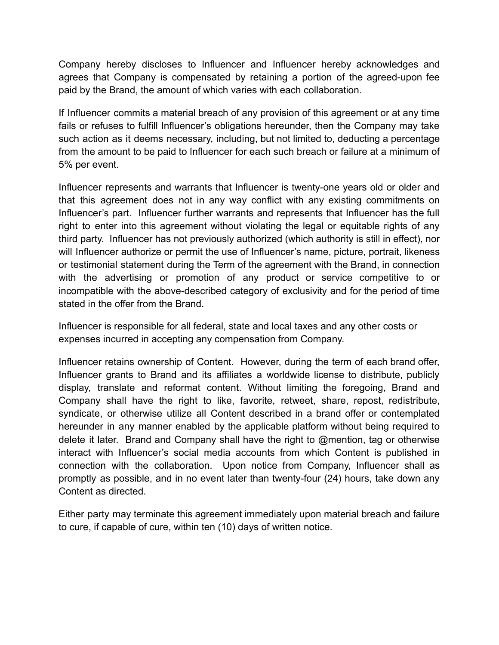Company hereby discloses to Influencer and Influencer hereby acknowledges and agrees that Company is compensated by retaining a portion of the agreed-upon fee paid by the Brand, the amount of which varies with each collaboration.

If Influencer commits a material breach of any provision of this agreement or at any time fails or refuses to fulfill Influencer's obligations hereunder, then the Company may take such action as it deems necessary, including, but not limited to, deducting a percentage from the amount to be paid to Influencer for each such breach or failure at a minimum of 5% per event.

Influencer represents and warrants that Influencer is twenty-one years old or older and that this agreement does not in any way conflict with any existing commitments on Influencer's part. Influencer further warrants and represents that Influencer has the full right to enter into this agreement without violating the legal or equitable rights of any third party. Influencer has not previously authorized (which authority is still in effect), nor will Influencer authorize or permit the use of Influencer's name, picture, portrait, likeness or testimonial statement during the Term of the agreement with the Brand, in connection with the advertising or promotion of any product or service competitive to or incompatible with the above-described category of exclusivity and for the period of time stated in the offer from the Brand.

Influencer is responsible for all federal, state and local taxes and any other costs or expenses incurred in accepting any compensation from Company.

Influencer retains ownership of Content. However, during the term of each brand offer, Influencer grants to Brand and its affiliates a worldwide license to distribute, publicly display, translate and reformat content. Without limiting the foregoing, Brand and Company shall have the right to like, favorite, retweet, share, repost, redistribute, syndicate, or otherwise utilize all Content described in a brand offer or contemplated hereunder in any manner enabled by the applicable platform without being required to delete it later. Brand and Company shall have the right to @mention, tag or otherwise interact with Influencer's social media accounts from which Content is published in connection with the collaboration. Upon notice from Company, Influencer shall as promptly as possible, and in no event later than twenty-four (24) hours, take down any Content as directed.

Either party may terminate this agreement immediately upon material breach and failure to cure, if capable of cure, within ten (10) days of written notice.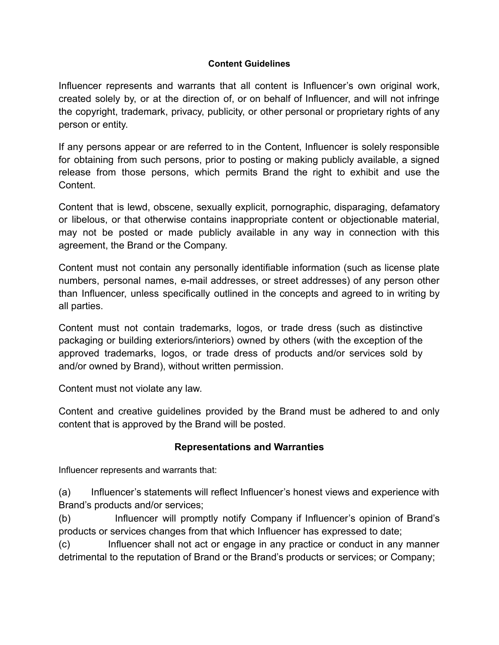### **Content Guidelines**

Influencer represents and warrants that all content is Influencer's own original work, created solely by, or at the direction of, or on behalf of Influencer, and will not infringe the copyright, trademark, privacy, publicity, or other personal or proprietary rights of any person or entity.

If any persons appear or are referred to in the Content, Influencer is solely responsible for obtaining from such persons, prior to posting or making publicly available, a signed release from those persons, which permits Brand the right to exhibit and use the Content.

Content that is lewd, obscene, sexually explicit, pornographic, disparaging, defamatory or libelous, or that otherwise contains inappropriate content or objectionable material, may not be posted or made publicly available in any way in connection with this agreement, the Brand or the Company.

Content must not contain any personally identifiable information (such as license plate numbers, personal names, e-mail addresses, or street addresses) of any person other than Influencer, unless specifically outlined in the concepts and agreed to in writing by all parties.

Content must not contain trademarks, logos, or trade dress (such as distinctive packaging or building exteriors/interiors) owned by others (with the exception of the approved trademarks, logos, or trade dress of products and/or services sold by and/or owned by Brand), without written permission.

Content must not violate any law.

Content and creative guidelines provided by the Brand must be adhered to and only content that is approved by the Brand will be posted.

### **Representations and Warranties**

Influencer represents and warrants that:

(a) Influencer's statements will reflect Influencer's honest views and experience with Brand's products and/or services;

(b) Influencer will promptly notify Company if Influencer's opinion of Brand's products or services changes from that which Influencer has expressed to date;

(c) Influencer shall not act or engage in any practice or conduct in any manner detrimental to the reputation of Brand or the Brand's products or services; or Company;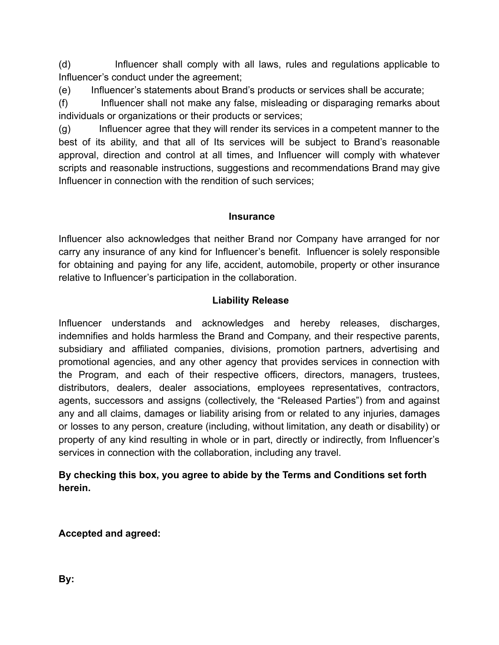(d) Influencer shall comply with all laws, rules and regulations applicable to Influencer's conduct under the agreement;

(e) Influencer's statements about Brand's products or services shall be accurate;

(f) Influencer shall not make any false, misleading or disparaging remarks about individuals or organizations or their products or services;

(g) Influencer agree that they will render its services in a competent manner to the best of its ability, and that all of Its services will be subject to Brand's reasonable approval, direction and control at all times, and Influencer will comply with whatever scripts and reasonable instructions, suggestions and recommendations Brand may give Influencer in connection with the rendition of such services;

## **Insurance**

Influencer also acknowledges that neither Brand nor Company have arranged for nor carry any insurance of any kind for Influencer's benefit. Influencer is solely responsible for obtaining and paying for any life, accident, automobile, property or other insurance relative to Influencer's participation in the collaboration.

# **Liability Release**

Influencer understands and acknowledges and hereby releases, discharges, indemnifies and holds harmless the Brand and Company, and their respective parents, subsidiary and affiliated companies, divisions, promotion partners, advertising and promotional agencies, and any other agency that provides services in connection with the Program, and each of their respective officers, directors, managers, trustees, distributors, dealers, dealer associations, employees representatives, contractors, agents, successors and assigns (collectively, the "Released Parties") from and against any and all claims, damages or liability arising from or related to any injuries, damages or losses to any person, creature (including, without limitation, any death or disability) or property of any kind resulting in whole or in part, directly or indirectly, from Influencer's services in connection with the collaboration, including any travel.

# **By checking this box, you agree to abide by the Terms and Conditions set forth herein.**

**Accepted and agreed:**